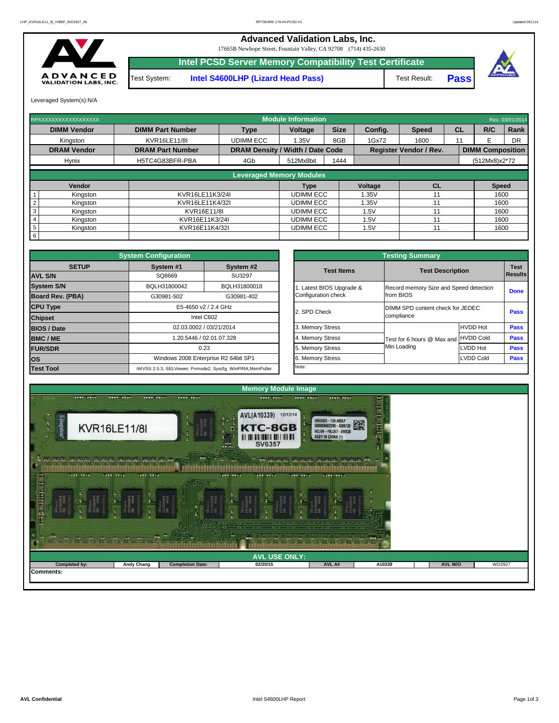

Leveraged System(s):N/A

## **Advanced Validation Labs, Inc.**  17665B Newhope Street, Fountain Valley, CA 92708 (714) 435-2630 **Intel PCSD Server Memory Compatibility Test Certificate** A D V A N C E D<br>VALIDATION LABS, INC. Test System: **Intel S4600LHP (Lizard Head Pass)** Test Result: **Pass**

| RPXXXXXXXXXXXXXXXXXX        |                         |                                         | <b>Module Information</b> |             |         |                               |           |                         | Rev. 03/01/2014 |
|-----------------------------|-------------------------|-----------------------------------------|---------------------------|-------------|---------|-------------------------------|-----------|-------------------------|-----------------|
| <b>DIMM Vendor</b>          | <b>DIMM Part Number</b> | <b>Type</b>                             | Voltage                   | <b>Size</b> | Config. | <b>Speed</b>                  | <b>CL</b> | R/C                     | Rank            |
| Kingston                    | <b>KVR16LE11/8I</b>     | <b>UDIMM ECC</b>                        | 1.35V                     | 8GB         | 1Gx72   | 1600                          | 11        |                         | DR              |
| <b>DRAM Vendor</b>          | <b>DRAM Part Number</b> | <b>DRAM Density / Width / Date Code</b> |                           |             |         | <b>Register Vendor / Rev.</b> |           | <b>DIMM Composition</b> |                 |
| <b>Hynix</b>                | H5TC4G83BFR-PBA         | 4Gb                                     | 512Mx8bit                 | 1444        |         |                               |           | (512Mx8)x2*72           |                 |
|                             |                         |                                         |                           |             |         |                               |           |                         |                 |
|                             |                         | <b>Leveraged Memory Modules</b>         |                           |             |         |                               |           |                         |                 |
| Vendor                      |                         |                                         | Type                      |             | Voltage | CL                            |           | <b>Speed</b>            |                 |
| Kingston                    | KVR16LE11K3/24I         |                                         | <b>UDIMM ECC</b>          |             | 1.35V   |                               |           | 1600                    |                 |
| Kingston                    | KVR16LE11K4/32I         |                                         | <b>UDIMM ECC</b>          |             | 1.35V   |                               |           | 1600                    |                 |
| 3<br>Kingston               | KVR16E11/8I             |                                         | <b>UDIMM ECC</b>          |             | 1.5V    |                               |           | 1600                    |                 |
| Kingston                    | KVR16E11K3/24I          |                                         | <b>UDIMM ECC</b>          |             | 1.5V    |                               |           | 1600                    |                 |
| $5\phantom{.0}$<br>Kingston | KVR16E11K4/32I          |                                         | <b>UDIMM ECC</b>          |             | 1.5V    |                               |           | 1600                    |                 |
| 6                           |                         |                                         |                           |             |         |                               |           |                         |                 |

|              | <b>System Configuration</b> |                                                             |                       | <b>Testing Summary</b>                 |                         |  |  |  |  |  |
|--------------|-----------------------------|-------------------------------------------------------------|-----------------------|----------------------------------------|-------------------------|--|--|--|--|--|
| <b>SETUP</b> | System #1                   | System #2                                                   | <b>Test Items</b>     |                                        |                         |  |  |  |  |  |
|              | SQ8669                      | SU3297                                                      |                       |                                        | <b>Test Description</b> |  |  |  |  |  |
|              | BQLH31800042                | BQLH31800018                                                | Latest BIOS Upgrade & | Record memory Size and Speed detection |                         |  |  |  |  |  |
| PBA)         | G30981-502                  | G30981-402                                                  | Configuration check   | from BIOS                              |                         |  |  |  |  |  |
|              |                             | E5-4650 v2 / 2.4 GHz                                        |                       | DIMM SPD content check for JEDEC       |                         |  |  |  |  |  |
|              |                             | Intel C602                                                  | 2. SPD Check          | compliance                             |                         |  |  |  |  |  |
|              |                             | 02.03.0002 / 03/21/2014                                     | 3. Memory Stress      |                                        | <b>HVDD Hot</b>         |  |  |  |  |  |
|              |                             | 1.20.5446 / 02.01.07.328                                    | 4. Memory Stress      | Test for 6 hours @ Max and             | <b>HVDD Cold</b>        |  |  |  |  |  |
|              |                             | 0.23                                                        | 5. Memory Stress      | Min Loading                            | <b>LVDD Hot</b>         |  |  |  |  |  |
|              |                             | Windows 2008 Enterprise R2 64bit SP1                        | 6. Memory Stress      |                                        | LVDD Cold               |  |  |  |  |  |
|              |                             | iWVSS 2.5.3, SELViewer, Pvmode2, Syscfg, WinPIRA, MemPuller | Note:                 |                                        |                         |  |  |  |  |  |

|                         | <b>System Configuration</b> |                                                             |                                  |                         | <b>Testing Summary</b>                 |                  |             |
|-------------------------|-----------------------------|-------------------------------------------------------------|----------------------------------|-------------------------|----------------------------------------|------------------|-------------|
| <b>SETUP</b>            | System #1                   | System #2                                                   |                                  | <b>Test Items</b>       | <b>Test Description</b>                |                  | <b>Test</b> |
| <b>AVL S/N</b>          | SQ8669                      | <b>SU3297</b>                                               |                                  |                         |                                        |                  | Results     |
| <b>System S/N</b>       | BQLH31800042                | BQLH31800018                                                |                                  | . Latest BIOS Upgrade & | Record memory Size and Speed detection |                  | <b>Done</b> |
| <b>Board Rev. (PBA)</b> | G30981-502                  | G30981-402                                                  | Configuration check<br>from BIOS |                         |                                        |                  |             |
| <b>CPU Type</b>         |                             | E5-4650 v2 / 2.4 GHz                                        |                                  |                         | DIMM SPD content check for JEDEC       |                  |             |
| <b>Chipset</b>          |                             | Intel C602                                                  | 2. SPD Check<br>compliance       |                         |                                        | <b>Pass</b>      |             |
| <b>BIOS / Date</b>      |                             | 02.03.0002 / 03/21/2014                                     |                                  | 3. Memory Stress        |                                        | <b>HVDD Hot</b>  | <b>Pass</b> |
| <b>BMC/ME</b>           |                             | 1.20.5446 / 02.01.07.328                                    |                                  | 4. Memory Stress        | Test for 6 hours @ Max and             | <b>HVDD Cold</b> | <b>Pass</b> |
| <b>FUR/SDR</b>          |                             | 0.23                                                        |                                  | 5. Memory Stress        | Min Loading                            | LVDD Hot         | <b>Pass</b> |
| <b>los</b>              |                             | Windows 2008 Enterprise R2 64bit SP1                        | 6. Memory Stress<br>LVDD Cold    |                         |                                        | <b>Pass</b>      |             |
| <b>Test Tool</b>        |                             | iWVSS 2.5.3, SELViewer, Pvmode2, Syscfg, WinPIRA, MemPuller | Note:                            |                         |                                        |                  |             |

| $-0.0$<br>$-0.00$<br>THE R. P. LEWIS<br>mannmannmannmann.<br><b>Contract Contract Contract Contract Contract</b><br>$\mathcal{L} \subset \mathcal{L}$ . The set of $\mathcal{L} \subset \mathcal{L}$<br>$\sigma$ . $\sim$ $\sigma$ $\sim$ $\sim$ $\sim$<br>$\mathbf{a} = \mathbf{a} \cdot \mathbf{a}$<br>$-0.001$<br>$\begin{array}{ccc} \bullet & \bullet & \bullet \end{array}$<br>$-2$<br>$\cdots$<br>The company of the second company of<br><b>DESCRIPTION OF BUILDING</b><br>$\color{blue}{0.000\text{ }0.000\text{ }0.000\text{ }0.000\text{ }0.000\text{ }0.000\text{ }0.000\text{ }0.000\text{ }0.000\text{ }0.000\text{ }0.000\text{ }0.000\text{ }0.000\text{ }0.000\text{ }0.000\text{ }0.000\text{ }0.000\text{ }0.000\text{ }0.000\text{ }0.000\text{ }0.000\text{ }0.000\text{ }0.000\text{ }0.000\text{$<br>and action and action and action and<br><b>COLOR</b> |                   |                         |          |        |        |                |        |  |  |  |  |  |
|----------------------------------------------------------------------------------------------------------------------------------------------------------------------------------------------------------------------------------------------------------------------------------------------------------------------------------------------------------------------------------------------------------------------------------------------------------------------------------------------------------------------------------------------------------------------------------------------------------------------------------------------------------------------------------------------------------------------------------------------------------------------------------------------------------------------------------------------------------------------------------|-------------------|-------------------------|----------|--------|--------|----------------|--------|--|--|--|--|--|
| <b>AVL USE ONLY:</b>                                                                                                                                                                                                                                                                                                                                                                                                                                                                                                                                                                                                                                                                                                                                                                                                                                                             |                   |                         |          |        |        |                |        |  |  |  |  |  |
| Completed by:                                                                                                                                                                                                                                                                                                                                                                                                                                                                                                                                                                                                                                                                                                                                                                                                                                                                    | <b>Andy Chang</b> | <b>Completion Date:</b> | 02/20/15 | AVL A# | A10339 | <b>AVL W/O</b> | WD2927 |  |  |  |  |  |
| <b>Comments:</b>                                                                                                                                                                                                                                                                                                                                                                                                                                                                                                                                                                                                                                                                                                                                                                                                                                                                 |                   |                         |          |        |        |                |        |  |  |  |  |  |

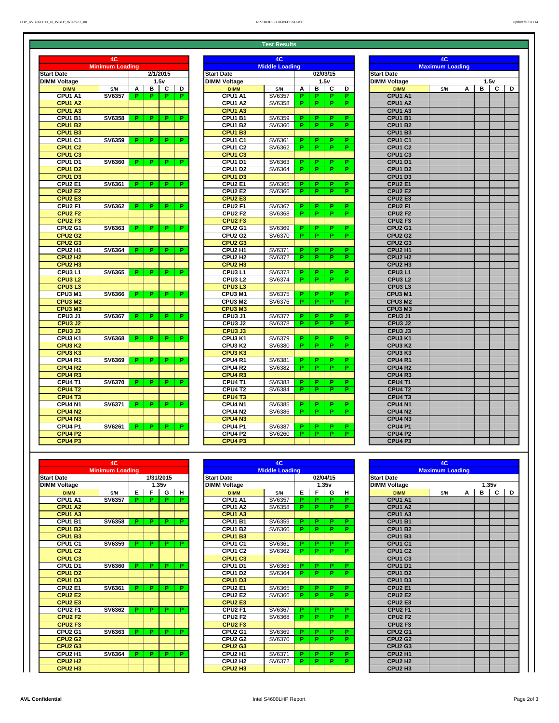**Test Results**

|                                 | 4C                     |    |   |           |    | 4C                              |                       |    |    |          |    | 4C                              |                        |   |   |              |   |
|---------------------------------|------------------------|----|---|-----------|----|---------------------------------|-----------------------|----|----|----------|----|---------------------------------|------------------------|---|---|--------------|---|
|                                 | <b>Minimum Loading</b> |    |   |           |    |                                 | <b>Middle Loading</b> |    |    |          |    |                                 | <b>Maximum Loading</b> |   |   |              |   |
| <b>Jate</b>                     |                        |    |   | 1/31/2015 |    | <b>Start Date</b>               |                       |    |    | 02/04/15 |    | <b>Start Date</b>               |                        |   |   |              |   |
| Voltage                         |                        |    |   | 1.35v     |    | <b>DIMM Voltage</b>             |                       |    |    | 1.35v    |    | <b>DIMM Voltage</b>             |                        |   |   | 1.35v        |   |
| <b>DIMM</b>                     | S/N                    | Е  | F | G         | H  | <b>DIMM</b>                     | S/N                   | Е  | F  | G        | н  | <b>DIMM</b>                     | S/N                    | А | B | $\mathbf{C}$ | D |
| <b>CPU1 A1</b>                  | <b>SV6357</b>          | P. | P | P.        | Р. | <b>CPU1 A1</b>                  | SV6357                | P. | P  | P.       | Р. | <b>CPU1 A1</b>                  |                        |   |   |              |   |
| CPU1 A2                         |                        |    |   |           |    | <b>CPU1 A2</b>                  | SV6358                | P. | P  | P        | P. | <b>CPU1 A2</b>                  |                        |   |   |              |   |
| CPU1 A3                         |                        |    |   |           |    | <b>CPU1 A3</b>                  |                       |    |    |          |    | <b>CPU1 A3</b>                  |                        |   |   |              |   |
| CPU1 B1                         | <b>SV6358</b>          | P. | P | P.        | P. | <b>CPU1 B1</b>                  | SV6359                | P. | P  | P        | P. | <b>CPU1 B1</b>                  |                        |   |   |              |   |
| <b>CPU1 B2</b>                  |                        |    |   |           |    | <b>CPU1 B2</b>                  | SV6360                | P. | P  | P.       | P. | <b>CPU1 B2</b>                  |                        |   |   |              |   |
| CPU1 B3                         |                        |    |   |           |    | <b>CPU1 B3</b>                  |                       |    |    |          |    | <b>CPU1 B3</b>                  |                        |   |   |              |   |
| <b>CPU1 C1</b>                  | <b>SV6359</b>          | P. | P | D.        | P. | CPU1 C1                         | SV6361                | P. | P  | P.       | P. | CPU <sub>1</sub> C <sub>1</sub> |                        |   |   |              |   |
| <b>CPU1 C2</b>                  |                        |    |   |           |    | <b>CPU1 C2</b>                  | SV6362                | P. | P  | P.       | P. | <b>CPU1 C2</b>                  |                        |   |   |              |   |
| CPU1 C3                         |                        |    |   |           |    | <b>CPU1 C3</b>                  |                       |    |    |          |    | <b>CPU1 C3</b>                  |                        |   |   |              |   |
| <b>CPU1 D1</b>                  | <b>SV6360</b>          | P. | P | P.        | P. | <b>CPU1 D1</b>                  | SV6363                | P. | P  | P.       | P. | <b>CPU1 D1</b>                  |                        |   |   |              |   |
| CPU1 D2                         |                        |    |   |           |    | CPU1 D2                         | SV6364                | P. | P  | P        | P. | <b>CPU1 D2</b>                  |                        |   |   |              |   |
| CPU1 D3                         |                        |    |   |           |    | CPU1 D3                         |                       |    |    |          |    | CPU1D3                          |                        |   |   |              |   |
| <b>CPU2 E1</b>                  | <b>SV6361</b>          | Р. | P | P.        | P. | <b>CPU2 E1</b>                  | SV6365                | D. | P  | P.       | P. | <b>CPU2 E1</b>                  |                        |   |   |              |   |
| <b>CPU2 E2</b>                  |                        |    |   |           |    | <b>CPU2 E2</b>                  | SV6366                | P. | P  | P.       | P. | <b>CPU2 E2</b>                  |                        |   |   |              |   |
| <b>CPU2 E3</b>                  |                        |    |   |           |    | <b>CPU2 E3</b>                  |                       |    |    |          |    | <b>CPU2 E3</b>                  |                        |   |   |              |   |
| CPU <sub>2</sub> F1             | <b>SV6362</b>          | P. | P | P.        | P. | CPU <sub>2</sub> F1             | SV6367                | P. | P  | P.       | P. | CPU <sub>2</sub> F1             |                        |   |   |              |   |
| CPU <sub>2</sub> F <sub>2</sub> |                        |    |   |           |    | CPU <sub>2</sub> F <sub>2</sub> | SV6368                | P. | P. | P.       | P. | <b>CPU2 F2</b>                  |                        |   |   |              |   |
| CPU <sub>2</sub> F <sub>3</sub> |                        |    |   |           |    | <b>CPU2 F3</b>                  |                       |    |    |          |    | CPU <sub>2</sub> F <sub>3</sub> |                        |   |   |              |   |
| <b>CPU2 G1</b>                  | <b>SV6363</b>          | Р. | P | P.        | P. | CPU <sub>2</sub> G1             | SV6369                | P. | P  | P.       | P. | <b>CPU2 G1</b>                  |                        |   |   |              |   |
| <b>CPU2 G2</b>                  |                        |    |   |           |    | <b>CPU2 G2</b>                  | SV6370                | P. | P  | P.       | P. | <b>CPU2 G2</b>                  |                        |   |   |              |   |
| <b>CPU2 G3</b>                  |                        |    |   |           |    | <b>CPU2 G3</b>                  |                       |    |    |          |    | <b>CPU2 G3</b>                  |                        |   |   |              |   |
| CPU2 H1                         | <b>SV6364</b>          | P. | P | P.        | P. | CPU <sub>2</sub> H <sub>1</sub> | SV6371                | P. | P  | P.       | P. | CPU <sub>2</sub> H1             |                        |   |   |              |   |
| <b>CPU2 H2</b>                  |                        |    |   |           |    | CPU <sub>2</sub> H <sub>2</sub> | SV6372                | P. | P. | Р.       | P. | CPU <sub>2</sub> H <sub>2</sub> |                        |   |   |              |   |
| CPU <sub>2</sub> H <sub>3</sub> |                        |    |   |           |    | CPU <sub>2</sub> H <sub>3</sub> |                       |    |    |          |    | CPU <sub>2</sub> H <sub>3</sub> |                        |   |   |              |   |

|                      | 4C                     |    |    |             |                |                                 | 4C     |    |          |             |    |                                 | 4C                     |   |   |                |
|----------------------|------------------------|----|----|-------------|----------------|---------------------------------|--------|----|----------|-------------|----|---------------------------------|------------------------|---|---|----------------|
|                      | <b>Minimum Loading</b> |    |    |             |                | <b>Middle Loading</b>           |        |    |          |             |    |                                 | <b>Maximum Loading</b> |   |   |                |
| <b>Jate</b>          |                        |    |    | 2/1/2015    |                | <b>Start Date</b>               |        |    | 02/03/15 |             |    | <b>Start Date</b>               |                        |   |   |                |
| Voltage              |                        |    |    | 1.5v        |                | <b>DIMM Voltage</b>             |        |    |          | 1.5v        |    | <b>DIMM Voltage</b>             |                        |   |   | 1.5v           |
| <b>DIMM</b>          | S/N                    | A  | В  | $\mathbf c$ | D              | <b>DIMM</b>                     | S/N    | A  | В        | $\mathbf c$ | D  | <b>DIMM</b>                     | S/N                    | A | B | $\overline{c}$ |
| <b>CPU1 A1</b>       | <b>SV6357</b>          | Р. | P  | P.          | $\overline{P}$ | <b>CPU1 A1</b>                  | SV6357 | P. | P        | P           | P. | <b>CPU1 A1</b>                  |                        |   |   |                |
| <b>CPU1 A2</b>       |                        |    |    |             |                | CPU1 A2                         | SV6358 | P. | P        | P.          | P. | <b>CPU1 A2</b>                  |                        |   |   |                |
| <b>CPU1 A3</b>       |                        |    |    |             |                | CPU1 A3                         |        |    |          |             |    | CPU1 A3                         |                        |   |   |                |
| <b>CPU1 B1</b>       | <b>SV6358</b>          | Р. | P  | Р.          | P.             | CPU1 B1                         | SV6359 | P. | P        | P           | P. | <b>CPU1 B1</b>                  |                        |   |   |                |
| <b>CPU1 B2</b>       |                        |    |    |             |                | <b>CPU1 B2</b>                  | SV6360 | P. | P        | P.          | P. | <b>CPU1 B2</b>                  |                        |   |   |                |
| <b>CPU1 B3</b>       |                        |    |    |             |                | <b>CPU1 B3</b>                  |        |    |          |             |    | <b>CPU1 B3</b>                  |                        |   |   |                |
| CPU1 C1              | <b>SV6359</b>          | Р. | P. | Р.          | P.             | <b>CPU1 C1</b>                  | SV6361 | P. | P        | P.          | P. | CPU1 C1                         |                        |   |   |                |
| <b>CPU1 C2</b>       |                        |    |    |             |                | <b>CPU1 C2</b>                  | SV6362 | P. | P        | P.          | P. | <b>CPU1 C2</b>                  |                        |   |   |                |
| CPU1 C3              |                        |    |    |             |                | <b>CPU1 C3</b>                  |        |    |          |             |    |                                 |                        |   |   |                |
|                      |                        |    |    | P.          |                |                                 |        |    |          |             |    | <b>CPU1 C3</b>                  |                        |   |   |                |
| <b>CPU1 D1</b>       | <b>SV6360</b>          | Р. | P  |             | P.             | <b>CPU1 D1</b>                  | SV6363 | P. | P        | P.          | P. | <b>CPU1 D1</b>                  |                        |   |   |                |
| <b>CPU1D2</b>        |                        |    |    |             |                | <b>CPU1 D2</b>                  | SV6364 | P. | P        | P.          | P. | <b>CPU1 D2</b>                  |                        |   |   |                |
| CPU1D3               |                        |    |    |             |                | <b>CPU1 D3</b>                  |        |    |          |             |    | <b>CPU1 D3</b>                  |                        |   |   |                |
| <b>CPU2 E1</b>       | <b>SV6361</b>          | Р. | P. | Р.          | P.             | <b>CPU2 E1</b>                  | SV6365 | P. | P        | P.          | P. | <b>CPU2 E1</b>                  |                        |   |   |                |
| <b>CPU2 E2</b>       |                        |    |    |             |                | <b>CPU2 E2</b>                  | SV6366 | P. | P        | P.          | P. | <b>CPU2 E2</b>                  |                        |   |   |                |
| <b>CPU2 E3</b>       |                        |    |    |             |                | <b>CPU2 E3</b>                  |        |    |          |             |    | <b>CPU2 E3</b>                  |                        |   |   |                |
| $\overline{CPU}2$ F1 | <b>SV6362</b>          | P. | P  | P.          | P.             | <b>CPU2 F1</b>                  | SV6367 | P. | P        | P.          | Р. | CPU <sub>2</sub> F1             |                        |   |   |                |
| <b>CPU2 F2</b>       |                        |    |    |             |                | <b>CPU2 F2</b>                  | SV6368 | P. | P        | P.          | P. | <b>CPU2 F2</b>                  |                        |   |   |                |
| <b>CPU2 F3</b>       |                        |    |    |             |                | <b>CPU2 F3</b>                  |        |    |          |             |    | CPU <sub>2</sub> F <sub>3</sub> |                        |   |   |                |
| <b>CPU2 G1</b>       | <b>SV6363</b>          | Р. | P. | P.          | P.             | <b>CPU2 G1</b>                  | SV6369 | P. | P        | P           | P. | <b>CPU2 G1</b>                  |                        |   |   |                |
| <b>CPU2 G2</b>       |                        |    |    |             |                | <b>CPU2 G2</b>                  | SV6370 | P. | P        | P.          | P. | <b>CPU2 G2</b>                  |                        |   |   |                |
| CPU2 G3              |                        |    |    |             |                | <b>CPU2 G3</b>                  |        |    |          |             |    | <b>CPU2 G3</b>                  |                        |   |   |                |
| CPU2 H1              | <b>SV6364</b>          | Р. | P  | P.          | P.             | CPU <sub>2</sub> H <sub>1</sub> | SV6371 | P. | P        | P.          | P. | CPU <sub>2</sub> H1             |                        |   |   |                |
| <b>CPU2 H2</b>       |                        |    |    |             |                | CPU <sub>2</sub> H <sub>2</sub> | SV6372 | P. | P        | P.          | P. | CPU <sub>2</sub> H <sub>2</sub> |                        |   |   |                |
| <b>CPU2 H3</b>       |                        |    |    |             |                | CPU <sub>2</sub> H <sub>3</sub> |        |    |          |             |    | CPU <sub>2</sub> H <sub>3</sub> |                        |   |   |                |
| CPU3L1               | <b>SV6365</b>          | Р. | P. | P.          | P.             | CPU3L1                          | SV6373 | P. | P        | P.          | P. | CPU3L1                          |                        |   |   |                |
| <b>CPU3 L2</b>       |                        |    |    |             |                | CPU <sub>3</sub> L <sub>2</sub> | SV6374 | P. | P        | P.          | P. | CPU <sub>3</sub> L <sub>2</sub> |                        |   |   |                |
| <b>CPU3L3</b>        |                        |    |    |             |                | CPU3L3                          |        |    |          |             |    | CPU <sub>3</sub> L <sub>3</sub> |                        |   |   |                |
| CPU3 M1              | <b>SV6366</b>          | Р. | P  | Р.          | P.             | CPU3 M1                         | SV6375 | P. | P        | P.          | Р. | CPU3 M1                         |                        |   |   |                |
| <b>CPU3 M2</b>       |                        |    |    |             |                | CPU3 M2                         | SV6376 | P. | P.       | P.          | P. | CPU3 M2                         |                        |   |   |                |
| CPU3 M3              |                        |    |    |             |                | CPU3 M3                         |        |    |          |             |    | CPU3 M3                         |                        |   |   |                |
| CPU3 J1              | <b>SV6367</b>          | P. | P. | P           | P.             | <b>CPU3 J1</b>                  | SV6377 | P. | P.       | P.          | Р. | CPU3 J1                         |                        |   |   |                |
| <b>CPU3 J2</b>       |                        |    |    |             |                | <b>CPU3 J2</b>                  | SV6378 | P. | P.       | P.          | P. | <b>CPU3 J2</b>                  |                        |   |   |                |
| CPU3 J3              |                        |    |    |             |                | CPU3 J3                         |        |    |          |             |    | <b>CPU3 J3</b>                  |                        |   |   |                |
|                      |                        | Р. | P. | P.          | P.             | CPU3 K1                         |        | P. | P.       | P.          | P. |                                 |                        |   |   |                |
| <b>CPU3 K1</b>       | <b>SV6368</b>          |    |    |             |                |                                 | SV6379 |    |          |             |    | CPU3 K1                         |                        |   |   |                |
| <b>CPU3K2</b>        |                        |    |    |             |                | CPU3 K2                         | SV6380 | P. | P        | P.          | P. | CPU3 K2                         |                        |   |   |                |
| <b>CPU3 K3</b>       |                        |    |    |             |                | <b>CPU3K3</b>                   |        |    |          |             |    | CPU3 K3                         |                        |   |   |                |
| <b>CPU4 R1</b>       | <b>SV6369</b>          | Р. | P. | P.          | P.             | CPU4 R1                         | SV6381 | Р. | <b>P</b> | Р.          | P. | <b>CPU4 R1</b>                  |                        |   |   |                |
| <b>CPU4 R2</b>       |                        |    |    |             |                | <b>CPU4 R2</b>                  | SV6382 | P. | P.       | P.          | P. | <b>CPU4 R2</b>                  |                        |   |   |                |
| <b>CPU4 R3</b>       |                        |    |    |             |                | <b>CPU4 R3</b>                  |        |    |          |             |    | CPU4R3                          |                        |   |   |                |
| <b>CPU4 T1</b>       | <b>SV6370</b>          | Р. | P. | P.          | P.             | <b>CPU4 T1</b>                  | SV6383 | P. | P.       | P.          | P. | <b>CPU4 T1</b>                  |                        |   |   |                |
| <b>CPU4 T2</b>       |                        |    |    |             |                | <b>CPU4 T2</b>                  | SV6384 | P. | P.       | P.          | P. | <b>CPU4 T2</b>                  |                        |   |   |                |
| <b>CPU4 T3</b>       |                        |    |    |             |                | <b>CPU4 T3</b>                  |        |    |          |             |    | <b>CPU4 T3</b>                  |                        |   |   |                |
| <b>CPU4 N1</b>       | <b>SV6371</b>          | Р. | P. | Р.          | P.             | <b>CPU4 N1</b>                  | SV6385 | P. | P        | P.          | Р. | <b>CPU4 N1</b>                  |                        |   |   |                |
| <b>CPU4 N2</b>       |                        |    |    |             |                | <b>CPU4 N2</b>                  | SV6386 | P. | P.       | P.          | P. | <b>CPU4 N2</b>                  |                        |   |   |                |
| <b>CPU4 N3</b>       |                        |    |    |             |                | <b>CPU4 N3</b>                  |        |    |          |             |    | CPU4 N3                         |                        |   |   |                |
| <b>CPU4 P1</b>       | <b>SV6261</b>          | Р. | P. | P.          | P.             | <b>CPU4 P1</b>                  | SV6387 | P. | P        | P.          | P. | <b>CPU4 P1</b>                  |                        |   |   |                |
| <b>CPU4 P2</b>       |                        |    |    |             |                | <b>CPU4 P2</b>                  | SV6260 | P. | P.       | P.          | P. | <b>CPU4 P2</b>                  |                        |   |   |                |
| CPU4 P3              |                        |    |    |             |                | CPU4 P3                         |        |    |          |             |    | <b>CPU4 P3</b>                  |                        |   |   |                |

|                                 |                        |        |    |                         |    |                                 | י טטג ו געטעונט       |        |    |             |         |                                 |                        |   |      |  |
|---------------------------------|------------------------|--------|----|-------------------------|----|---------------------------------|-----------------------|--------|----|-------------|---------|---------------------------------|------------------------|---|------|--|
|                                 | 4C                     |        |    |                         |    |                                 | 4C                    |        | 4C |             |         |                                 |                        |   |      |  |
|                                 | <b>Minimum Loading</b> |        |    |                         |    |                                 | <b>Middle Loading</b> |        |    |             |         |                                 | <b>Maximum Loading</b> |   |      |  |
| <b>Start Date</b>               |                        |        |    | 2/1/2015                |    | <b>Start Date</b>               |                       |        |    | 02/03/15    |         | <b>Start Date</b>               |                        |   |      |  |
| <b>DIMM Voltage</b>             |                        |        |    | 1.5v                    |    | <b>DIMM Voltage</b>             |                       |        |    | 1.5v        |         | <b>DIMM Voltage</b>             |                        |   | 1.5v |  |
|                                 |                        |        | B  | $\mathbf c$             | D  |                                 |                       |        | В  | $\mathbf c$ | D       |                                 |                        |   | B    |  |
| <b>DIMM</b><br>CPU1 A1          | S/N<br><b>SV6357</b>   | A<br>P | P. | $\overline{\mathsf{P}}$ | P  | <b>DIMM</b><br>CPU1 A1          | S/N<br>SV6357         | A<br>P | P. | P           | P.      | <b>DIMM</b><br>CPU1 A1          | S/N                    | A |      |  |
| CPU1 A2                         |                        |        |    |                         |    | CPU1 A2                         |                       |        | P. | P.          | P.      |                                 |                        |   |      |  |
| CPU1 A3                         |                        |        |    |                         |    | CPU1 A3                         | SV6358                | P.     |    |             |         | <b>CPU1 A2</b>                  |                        |   |      |  |
|                                 |                        |        | P. | P                       | P  | <b>CPU1 B1</b>                  |                       |        | Þ  |             |         | CPU1 A3                         |                        |   |      |  |
| CPU1 B1                         | <b>SV6358</b>          | P      |    |                         |    |                                 | SV6359                | P      | P. | P.          | P<br>P. | <b>CPU1 B1</b>                  |                        |   |      |  |
| CPU1 B2                         |                        |        |    |                         |    | <b>CPU1 B2</b>                  | SV6360                | P      |    | P           |         | <b>CPU1 B2</b>                  |                        |   |      |  |
| CPU1 B3                         |                        |        |    |                         |    | <b>CPU1 B3</b>                  |                       |        |    |             |         | <b>CPU1 B3</b>                  |                        |   |      |  |
| <b>CPU1 C1</b>                  | <b>SV6359</b>          | P      | P. | P.                      | P. | CPU1 C1                         | SV6361                | P.     | Þ  | P.          | P.      | <b>CPU1 C1</b>                  |                        |   |      |  |
| CPU1 C2                         |                        |        |    |                         |    | CPU1 C2                         | SV6362                | P.     | P. | P           | P.      | <b>CPU1 C2</b>                  |                        |   |      |  |
| CPU1 C3                         |                        |        |    |                         |    | CPU1 C3                         |                       |        |    |             |         | <b>CPU1 C3</b>                  |                        |   |      |  |
| <b>CPU1 D1</b>                  | <b>SV6360</b>          | P      | P. | P.                      | P. | <b>CPU1 D1</b>                  | SV6363                | P.     | P. | P.          | P.      | <b>CPU1 D1</b>                  |                        |   |      |  |
| CPU1 D2                         |                        |        |    |                         |    | CPU1 D2                         | SV6364                | P      | D. | P.          | P.      | <b>CPU1 D2</b>                  |                        |   |      |  |
| <b>CPU1 D3</b>                  |                        |        |    |                         |    | CPU1 D3                         |                       |        |    |             |         | <b>CPU1 D3</b>                  |                        |   |      |  |
| <b>CPU2 E1</b>                  | <b>SV6361</b>          | P      | P. | P.                      | P. | CPU <sub>2</sub> E1             | SV6365                | P.     | P  | P           | P       | <b>CPU2 E1</b>                  |                        |   |      |  |
| <b>CPU2 E2</b>                  |                        |        |    |                         |    | <b>CPU2 E2</b>                  | SV6366                | P.     | P. | P.          | P.      | <b>CPU2 E2</b>                  |                        |   |      |  |
| <b>CPU2 E3</b>                  |                        |        |    |                         |    | <b>CPU2 E3</b>                  |                       |        |    |             |         | <b>CPU2 E3</b>                  |                        |   |      |  |
| CPU <sub>2</sub> F <sub>1</sub> | <b>SV6362</b>          | P      | P. | P.                      | P  | CPU <sub>2</sub> F1             | SV6367                | P      | P. | P           | P.      | CPU <sub>2</sub> F1             |                        |   |      |  |
| <b>CPU2 F2</b>                  |                        |        |    |                         |    | <b>CPU2 F2</b>                  | SV6368                | P.     | P. | P.          | P       | <b>CPU2 F2</b>                  |                        |   |      |  |
| <b>CPU2 F3</b>                  |                        |        |    |                         |    | CPU <sub>2</sub> F <sub>3</sub> |                       |        |    |             |         | CPU <sub>2</sub> F <sub>3</sub> |                        |   |      |  |
| <b>CPU2 G1</b>                  | <b>SV6363</b>          | P      | P. | P.                      | P. | CPU <sub>2</sub> G1             | SV6369                | P.     | D. | P.          | P.      | <b>CPU2 G1</b>                  |                        |   |      |  |
| <b>CPU2 G2</b>                  |                        |        |    |                         |    | <b>CPU2 G2</b>                  | SV6370                | P      | Þ  | P           | P.      | <b>CPU2 G2</b>                  |                        |   |      |  |
| <b>CPU2 G3</b>                  |                        |        |    |                         |    | <b>CPU2 G3</b>                  |                       |        |    |             |         | <b>CPU2 G3</b>                  |                        |   |      |  |
| CPU <sub>2</sub> H <sub>1</sub> | <b>SV6364</b>          | P      | P. | P.                      | P. | CPU <sub>2</sub> H <sub>1</sub> | SV6371                | P.     | P. | P           | P.      | CPU <sub>2</sub> H <sub>1</sub> |                        |   |      |  |
| CPU <sub>2</sub> H <sub>2</sub> |                        |        |    |                         |    | CPU <sub>2</sub> H <sub>2</sub> | SV6372                | P.     | P. | P.          | P.      | CPU <sub>2</sub> H <sub>2</sub> |                        |   |      |  |
| CPU <sub>2</sub> H <sub>3</sub> |                        |        |    |                         |    | CPU <sub>2</sub> H <sub>3</sub> |                       |        |    |             |         | CPU <sub>2</sub> H <sub>3</sub> |                        |   |      |  |
| CPU3L1                          | <b>SV6365</b>          | P.     | P. | P.                      | P. | CPU3L1                          | SV6373                | P.     | P  | P           | P.      | CPU3L1                          |                        |   |      |  |
| <b>CPU3L2</b>                   |                        |        |    |                         |    | CPU3L2                          | SV6374                | P.     | P. | P           | P.      | CPU3L2                          |                        |   |      |  |
| CPU3L3                          |                        |        |    |                         |    | CPU3L3                          |                       |        |    |             |         | CPU <sub>3</sub> L <sub>3</sub> |                        |   |      |  |
| CPU3 M1                         | <b>SV6366</b>          | P      | P. | P                       | P  | CPU3 M1                         | SV6375                | P.     | P  | P           | P.      | CPU3 M1                         |                        |   |      |  |
| <b>CPU3 M2</b>                  |                        |        |    |                         |    | CPU3 M2                         | SV6376                | P.     | P. | P.          | P.      | CPU3 M2                         |                        |   |      |  |
| CPU3 M3                         |                        |        |    |                         |    | CPU3 M3                         |                       |        |    |             |         | CPU3 M3                         |                        |   |      |  |
| CPU3 J1                         | <b>SV6367</b>          | P      | P. | P.                      | Р. | CPU3 J1                         | SV6377                | P.     | P. | P.          | Р.      | CPU <sub>3</sub> J <sub>1</sub> |                        |   |      |  |
| <b>CPU3 J2</b>                  |                        |        |    |                         |    | CPU3 J2                         | SV6378                | Р.     | Р. | P.          | Р.      | <b>CPU3 J2</b>                  |                        |   |      |  |
| <b>CPU3 J3</b>                  |                        |        |    |                         |    | <b>CPU3 J3</b>                  |                       |        |    |             |         | CPU <sub>3</sub> J <sub>3</sub> |                        |   |      |  |
| CPU3 K1                         | <b>SV6368</b>          | P      | P. | P.                      | P. | CPU3 K1                         | SV6379                | P.     | P. | P.          | P.      | CPU3 K1                         |                        |   |      |  |
| <b>CPU3 K2</b>                  |                        |        |    |                         |    | CPU3 K2                         | SV6380                | P.     | Р. | P.          | Р.      | CPU3 K <sub>2</sub>             |                        |   |      |  |
| <b>CPU3K3</b>                   |                        |        |    |                         |    | CPU3 K3                         |                       |        |    |             |         | CPU3 K3                         |                        |   |      |  |
| <b>CPU4 R1</b>                  | <b>SV6369</b>          | P.     | P. | P.                      | P. | <b>CPU4 R1</b>                  | SV6381                | P.     | Р. | P.          | Р.      | <b>CPU4 R1</b>                  |                        |   |      |  |
|                                 |                        |        |    |                         |    | <b>CPU4 R2</b>                  |                       | P.     | P. | P.          | Р.      | <b>CPU4 R2</b>                  |                        |   |      |  |
| <b>CPU4 R2</b>                  |                        |        |    |                         |    |                                 | SV6382                |        |    |             |         |                                 |                        |   |      |  |
| <b>CPU4 R3</b>                  |                        |        |    |                         |    | <b>CPU4 R3</b>                  |                       |        |    |             |         | <b>CPU4 R3</b>                  |                        |   |      |  |
| <b>CPU4 T1</b>                  | <b>SV6370</b>          | P      | P. | P.                      | P. | <b>CPU4 T1</b>                  | SV6383                | P.     | P. | P.          | P.      | <b>CPU4 T1</b>                  |                        |   |      |  |
| <b>CPU4 T2</b>                  |                        |        |    |                         |    | <b>CPU4 T2</b>                  | SV6384                | Р.     | P. | P.          | Р.      | <b>CPU4 T2</b>                  |                        |   |      |  |
| <b>CPU4 T3</b>                  |                        |        |    |                         |    | <b>CPU4 T3</b>                  |                       |        |    |             |         | <b>CPU4 T3</b>                  |                        |   |      |  |
| <b>CPU4 N1</b>                  | <b>SV6371</b>          | P      | Р. | P.                      | P. | <b>CPU4 N1</b>                  | SV6385                | P.     | P  | P.          | P.      | <b>CPU4 N1</b>                  |                        |   |      |  |
| <b>CPU4 N2</b>                  |                        |        |    |                         |    | <b>CPU4 N2</b>                  | SV6386                | P.     | Р. | P           | Р.      | <b>CPU4 N2</b>                  |                        |   |      |  |
| <b>CPU4 N3</b>                  |                        |        |    |                         |    | <b>CPU4 N3</b>                  |                       |        |    |             |         | CPU4 N3                         |                        |   |      |  |
| CPU4 P1                         | <b>SV6261</b>          | P      | P. | P.                      | P. | <b>CPU4 P1</b>                  | SV6387                | P.     | P. | P.          | P.      | CPU4 P1                         |                        |   |      |  |
| <b>CPU4 P2</b>                  |                        |        |    |                         |    | <b>CPU4 P2</b>                  | SV6260                | P.     | Р. | P.          | Р.      | <b>CPU4 P2</b>                  |                        |   |      |  |
| <b>CPU4 P3</b>                  |                        |        |    |                         |    | <b>CPU4 P3</b>                  |                       |        |    |             |         | <b>CPU4 P3</b>                  |                        |   |      |  |

|                                 | 4C                     |   |   |             |   |
|---------------------------------|------------------------|---|---|-------------|---|
|                                 | <b>Maximum Loading</b> |   |   |             |   |
| <b>Start Date</b>               |                        |   |   |             |   |
| <b>DIMM Voltage</b>             |                        |   |   | 1.5v        |   |
| <b>DIMM</b>                     | S/N                    | A | B | $\mathbf c$ | D |
| CPU1 A1                         |                        |   |   |             |   |
| <b>CPU1 A2</b>                  |                        |   |   |             |   |
| CPU1 A3                         |                        |   |   |             |   |
| <b>CPU1 B1</b>                  |                        |   |   |             |   |
| <b>CPU1 B2</b>                  |                        |   |   |             |   |
| <b>CPU1 B3</b>                  |                        |   |   |             |   |
| <b>CPU1 C1</b>                  |                        |   |   |             |   |
| <b>CPU1 C2</b>                  |                        |   |   |             |   |
| <b>CPU1 C3</b>                  |                        |   |   |             |   |
| <b>CPU1 D1</b>                  |                        |   |   |             |   |
| <b>CPU1 D2</b>                  |                        |   |   |             |   |
| CPU1D3                          |                        |   |   |             |   |
| <b>CPU2 E1</b>                  |                        |   |   |             |   |
| CPU <sub>2</sub> E <sub>2</sub> |                        |   |   |             |   |
| <b>CPU2 E3</b>                  |                        |   |   |             |   |
| <b>CPU2 F1</b>                  |                        |   |   |             |   |
| <b>CPU2 F2</b>                  |                        |   |   |             |   |
| CPU <sub>2</sub> F <sub>3</sub> |                        |   |   |             |   |
| <b>CPU2 G1</b>                  |                        |   |   |             |   |
| <b>CPU2 G2</b>                  |                        |   |   |             |   |
| <b>CPU2 G3</b>                  |                        |   |   |             |   |
| CPU <sub>2</sub> H1             |                        |   |   |             |   |
| <b>CPU2 H2</b>                  |                        |   |   |             |   |
| CPU <sub>2</sub> H <sub>3</sub> |                        |   |   |             |   |
| <b>CPU3 L1</b>                  |                        |   |   |             |   |
| <b>CPU3L2</b>                   |                        |   |   |             |   |
| CPU <sub>3</sub> L <sub>3</sub> |                        |   |   |             |   |
| CPU3 M1                         |                        |   |   |             |   |
| CPU3 M2                         |                        |   |   |             |   |
| CPU3 M3                         |                        |   |   |             |   |
| <b>CPU3 J1</b>                  |                        |   |   |             |   |
| CPU3 J2                         |                        |   |   |             |   |
| CPU3 J3                         |                        |   |   |             |   |
| CPU3 K1                         |                        |   |   |             |   |
| CPU3 K2                         |                        |   |   |             |   |
| CPU3 K3                         |                        |   |   |             |   |
| <b>CPU4 R1</b>                  |                        |   |   |             |   |
| <b>CPU4 R2</b>                  |                        |   |   |             |   |
| CPU4R3                          |                        |   |   |             |   |
| <b>CPU4 T1</b>                  |                        |   |   |             |   |
| <b>CPU4 T2</b>                  |                        |   |   |             |   |
| CPU4 T3                         |                        |   |   |             |   |
| <b>CPU4 N1</b>                  |                        |   |   |             |   |
| <b>CPU4 N2</b>                  |                        |   |   |             |   |
| CPU4 N3                         |                        |   |   |             |   |
| <b>CPU4 P1</b>                  |                        |   |   |             |   |
| <b>CPU4 P2</b>                  |                        |   |   |             |   |
| CPU <sub>4</sub> P <sub>3</sub> |                        |   |   |             |   |
|                                 |                        |   |   |             |   |

|                                 | 4C                     |   |   |           |    |                                 | 4C                    |   |                         |                         |  |  |
|---------------------------------|------------------------|---|---|-----------|----|---------------------------------|-----------------------|---|-------------------------|-------------------------|--|--|
|                                 | <b>Minimum Loading</b> |   |   |           |    |                                 | <b>Middle Loading</b> |   |                         |                         |  |  |
| <b>Start Date</b>               |                        |   |   | 1/31/2015 |    | <b>Start Date</b>               |                       |   |                         | 02/04/15                |  |  |
| <b>DIMM Voltage</b>             |                        |   |   | 1.35v     |    | <b>DIMM Voltage</b>             |                       |   |                         | 1.35v                   |  |  |
| <b>DIMM</b>                     | S/N                    | E | F | G         | н  | <b>DIMM</b>                     | S/N                   | E | F                       | G                       |  |  |
| CPU1 A1                         | <b>SV6357</b>          | P | P | P         | P. | CPU1 A1                         | SV6357                | P | P                       | P.                      |  |  |
| <b>CPU1 A2</b>                  |                        |   |   |           |    | <b>CPU1 A2</b>                  | SV6358                | P | P                       | P                       |  |  |
| CPU1 A3                         |                        |   |   |           |    | CPU1 A3                         |                       |   |                         |                         |  |  |
| <b>CPU1 B1</b>                  | <b>SV6358</b>          | P | P | P.        | P. | <b>CPU1 B1</b>                  | SV6359                | P | P                       | P                       |  |  |
| <b>CPU1 B2</b>                  |                        |   |   |           |    | <b>CPU1 B2</b>                  | SV6360                | P | P                       | P                       |  |  |
| <b>CPU1 B3</b>                  |                        |   |   |           |    | <b>CPU1 B3</b>                  |                       |   |                         |                         |  |  |
| CPU1 C1                         | <b>SV6359</b>          | P | P | P         | P. | CPU1 C1                         | SV6361                | P | P                       | P                       |  |  |
| <b>CPU1 C2</b>                  |                        |   |   |           |    | <b>CPU1 C2</b>                  | SV6362                | P | P                       | $\overline{P}$          |  |  |
| CPU <sub>1</sub> C <sub>3</sub> |                        |   |   |           |    | CPU <sub>1</sub> C <sub>3</sub> |                       |   |                         |                         |  |  |
| <b>CPU1 D1</b>                  | <b>SV6360</b>          | P | P | P         | P  | <b>CPU1 D1</b>                  | SV6363                | P | P                       | P                       |  |  |
| <b>CPU1 D2</b>                  |                        |   |   |           |    | <b>CPU1 D2</b>                  | SV6364                | P | P                       | P                       |  |  |
| CPU <sub>1</sub> D <sub>3</sub> |                        |   |   |           |    | CPU <sub>1</sub> D <sub>3</sub> |                       |   |                         |                         |  |  |
| <b>CPU2 E1</b>                  | SV6361                 | P | P | P         | P. | <b>CPU2 E1</b>                  | SV6365                | P | P                       | P                       |  |  |
| <b>CPU2 E2</b>                  |                        |   |   |           |    | <b>CPU2 E2</b>                  | SV6366                | P | P                       | $\overline{P}$          |  |  |
| <b>CPU2 E3</b>                  |                        |   |   |           |    | <b>CPU2 E3</b>                  |                       |   |                         |                         |  |  |
| CPU <sub>2</sub> F1             | <b>SV6362</b>          | P | P | P         | P. | CPU <sub>2</sub> F1             | SV6367                | P | P                       | $\overline{P}$          |  |  |
| <b>CPU2 F2</b>                  |                        |   |   |           |    | <b>CPU2 F2</b>                  | SV6368                | P | $\overline{\mathsf{P}}$ | $\overline{P}$          |  |  |
| <b>CPU2 F3</b>                  |                        |   |   |           |    | <b>CPU2 F3</b>                  |                       |   |                         |                         |  |  |
| <b>CPU2 G1</b>                  | <b>SV6363</b>          | P | P | P         | P. | <b>CPU2 G1</b>                  | SV6369                | P | P                       | $\overline{\mathbf{P}}$ |  |  |
| <b>CPU2 G2</b>                  |                        |   |   |           |    | <b>CPU2 G2</b>                  | SV6370                | P | P                       | $\overline{P}$          |  |  |
| <b>CPU2 G3</b>                  |                        |   |   |           |    | <b>CPU2 G3</b>                  |                       |   |                         |                         |  |  |
| CPU <sub>2</sub> H <sub>1</sub> | <b>SV6364</b>          | P | P | P         | P. | CPU <sub>2</sub> H <sub>1</sub> | SV6371                | P | P                       | P                       |  |  |
| <b>CPU2 H2</b>                  |                        |   |   |           |    | CPU <sub>2</sub> H <sub>2</sub> | SV6372                | P | P                       | P.                      |  |  |
| CPU <sub>2</sub> H <sub>3</sub> |                        |   |   |           |    | CPU <sub>2</sub> H <sub>3</sub> |                       |   |                         |                         |  |  |

|                                 | 4C                     |   |   |       |   |
|---------------------------------|------------------------|---|---|-------|---|
|                                 | <b>Maximum Loading</b> |   |   |       |   |
| <b>Start Date</b>               |                        |   |   |       |   |
| <b>DIMM Voltage</b>             |                        |   |   | 1.35v |   |
| <b>DIMM</b>                     | S/N                    | A | B | C     | D |
| <b>CPU1 A1</b>                  |                        |   |   |       |   |
| <b>CPU1 A2</b>                  |                        |   |   |       |   |
| CPU1 A3                         |                        |   |   |       |   |
| <b>CPU1 B1</b>                  |                        |   |   |       |   |
| <b>CPU1 B2</b>                  |                        |   |   |       |   |
| <b>CPU1 B3</b>                  |                        |   |   |       |   |
| <b>CPU1 C1</b>                  |                        |   |   |       |   |
| <b>CPU1 C2</b>                  |                        |   |   |       |   |
| <b>CPU1 C3</b>                  |                        |   |   |       |   |
| <b>CPU1 D1</b>                  |                        |   |   |       |   |
| <b>CPU1 D2</b>                  |                        |   |   |       |   |
| <b>CPU1 D3</b>                  |                        |   |   |       |   |
| <b>CPU2 E1</b>                  |                        |   |   |       |   |
| <b>CPU2 E2</b>                  |                        |   |   |       |   |
| <b>CPU2 E3</b>                  |                        |   |   |       |   |
| CPU <sub>2</sub> F1             |                        |   |   |       |   |
| <b>CPU2 F2</b>                  |                        |   |   |       |   |
| CPU <sub>2</sub> F <sub>3</sub> |                        |   |   |       |   |
| <b>CPU2 G1</b>                  |                        |   |   |       |   |
| <b>CPU2 G2</b>                  |                        |   |   |       |   |
| <b>CPU2 G3</b>                  |                        |   |   |       |   |
| CPU <sub>2</sub> H <sub>1</sub> |                        |   |   |       |   |
| <b>CPU2 H2</b>                  |                        |   |   |       |   |
| CPU <sub>2</sub> H <sub>3</sub> |                        |   |   |       |   |